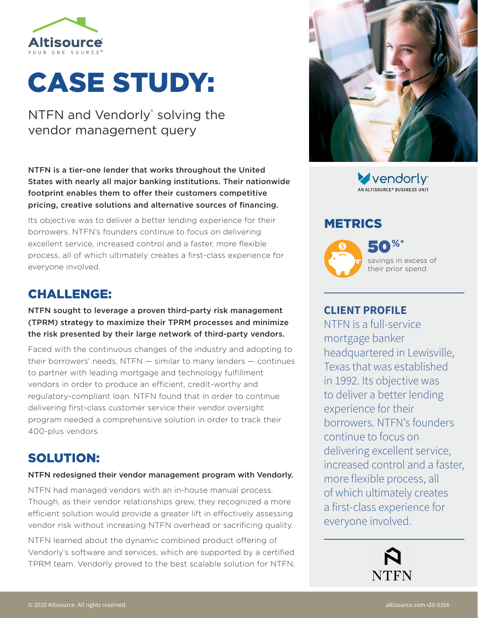

# CASE STUDY:

NTFN and Vendorly<sup>®</sup> solving the vendor management query

NTFN is a tier-one lender that works throughout the United States with nearly all major banking institutions. Their nationwide footprint enables them to offer their customers competitive pricing, creative solutions and alternative sources of financing.

Its objective was to deliver a better lending experience for their borrowers. NTFN's founders continue to focus on delivering excellent service, increased control and a faster, more flexible process, all of which ultimately creates a first-class experience for everyone involved.

## CHALLENGE:

#### NTFN sought to leverage a proven third-party risk management (TPRM) strategy to maximize their TPRM processes and minimize the risk presented by their large network of third-party vendors.

Faced with the continuous changes of the industry and adopting to their borrowers' needs, NTFN — similar to many lenders — continues to partner with leading mortgage and technology fulfillment vendors in order to produce an efficient, credit-worthy and regulatory-compliant loan. NTFN found that in order to continue delivering first-class customer service their vendor oversight program needed a comprehensive solution in order to track their 400-plus vendors.

# SOLUTION:

#### NTFN redesigned their vendor management program with Vendorly.

NTFN had managed vendors with an in-house manual process. Though, as their vendor relationships grew, they recognized a more efficient solution would provide a greater lift in effectively assessing vendor risk without increasing NTFN overhead or sacrificing quality.

NTFN learned about the dynamic combined product offering of Vendorly's software and services, which are supported by a certified TPRM team. Vendorly proved to the best scalable solution for NTFN.



vendorly<sup>®</sup> .<br>AN ALTISOURCE® BUSINESS UNIT

## METRICS



50**%\*** savings in excess of their prior spend.

### **CLIENT PROFILE**

NTFN is a full-service mortgage banker headquartered in Lewisville, Texas that was established in 1992. Its objective was to deliver a better lending experience for their borrowers. NTFN's founders continue to focus on delivering excellent service, increased control and a faster, more flexible process, all of which ultimately creates a first-class experience for everyone involved.